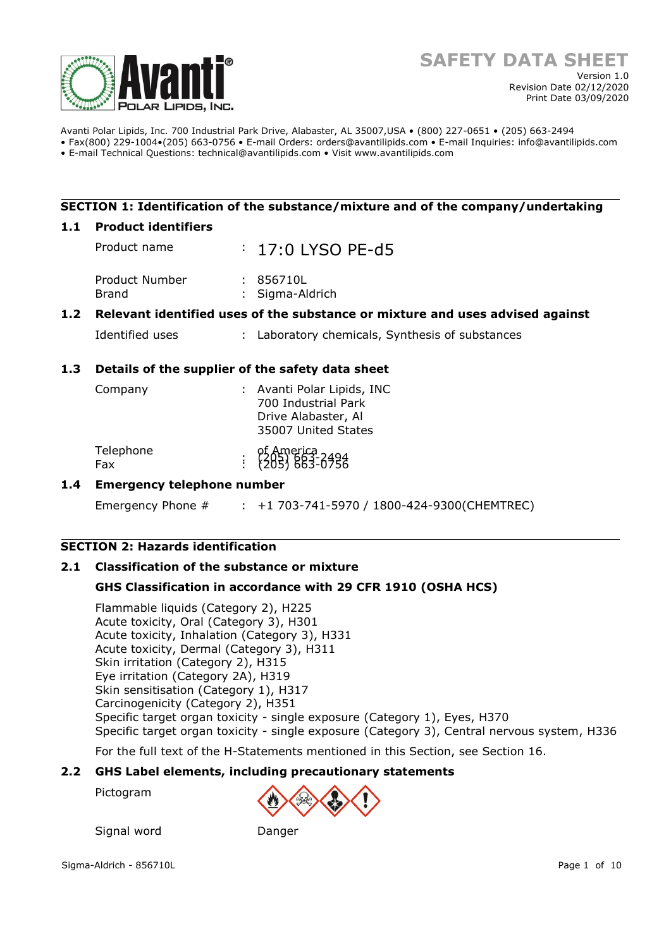

Avanti Polar Lipids, Inc. 700 Industrial Park Drive, Alabaster, AL 35007,USA • (800) 227-0651 • (205) 663-2494 • Fax(800) 229-1004•(205) 663-0756 • E-mail Orders: orders@avantilipids.com • E-mail Inquiries: info@avantilipids.com

• E-mail Technical Questions: technical@avantilipids.com • Visit www.avantilipids.com

## **SECTION 1: Identification of the substance/mixture and of the company/undertaking**

#### **1.1 Product identifiers**

Product name : 17:0 LYSO PF-d5 Product Number : 856710L Brand : Sigma-Aldrich

## **1.2 Relevant identified uses of the substance or mixture and uses advised against**

Identified uses : Laboratory chemicals, Synthesis of substances

## **1.3 Details of the supplier of the safety data sheet**

| Company          | : Avanti Polar Lipids, INC<br>700 Industrial Park<br>Drive Alabaster, Al<br>35007 United States |
|------------------|-------------------------------------------------------------------------------------------------|
| Telephone<br>Fax | of America<br>: (205) 663-0756                                                                  |

## **1.4 Emergency telephone number**

Emergency Phone # : +1 703-741-5970 / 1800-424-9300(CHEMTREC)

## **SECTION 2: Hazards identification**

## **2.1 Classification of the substance or mixture**

Signal word Danger

## **GHS Classification in accordance with 29 CFR 1910 (OSHA HCS)**

Flammable liquids (Category 2), H225 Acute toxicity, Oral (Category 3), H301 Acute toxicity, Inhalation (Category 3), H331 Acute toxicity, Dermal (Category 3), H311 Skin irritation (Category 2), H315 Eye irritation (Category 2A), H319 Skin sensitisation (Category 1), H317 Carcinogenicity (Category 2), H351 Specific target organ toxicity - single exposure (Category 1), Eyes, H370 Specific target organ toxicity - single exposure (Category 3), Central nervous system, H336

For the full text of the H-Statements mentioned in this Section, see Section 16.

#### **2.2 GHS Label elements, including precautionary statements**

Pictogram

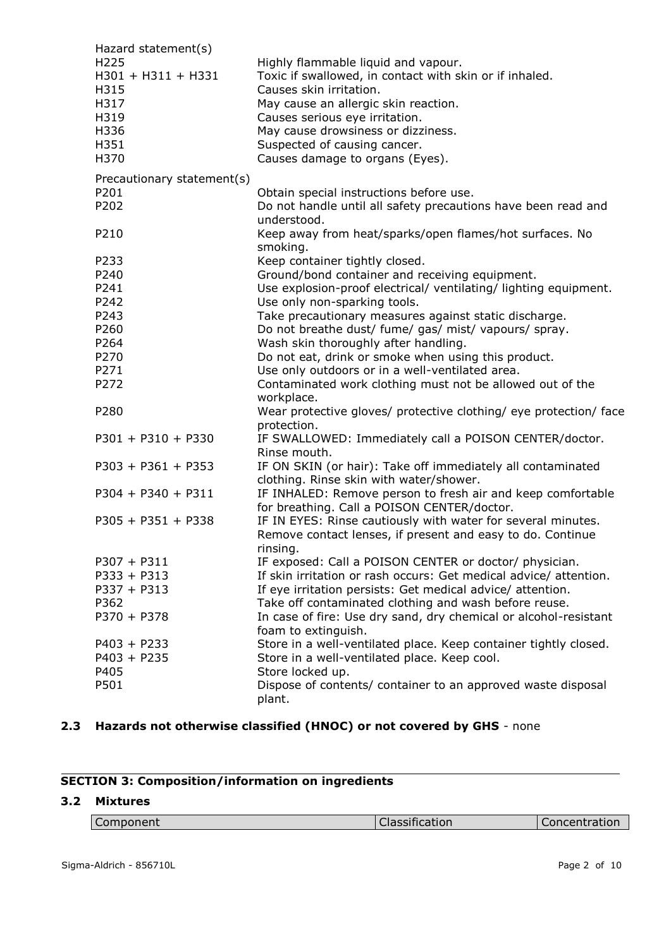| Hazard statement(s)                              |                                                                                                                           |
|--------------------------------------------------|---------------------------------------------------------------------------------------------------------------------------|
| H <sub>225</sub><br>$H301 + H311 + H331$<br>H315 | Highly flammable liquid and vapour.<br>Toxic if swallowed, in contact with skin or if inhaled.<br>Causes skin irritation. |
| H317                                             | May cause an allergic skin reaction.                                                                                      |
| H319                                             | Causes serious eye irritation.                                                                                            |
| H336                                             | May cause drowsiness or dizziness.                                                                                        |
| H351                                             | Suspected of causing cancer.                                                                                              |
| H370                                             | Causes damage to organs (Eyes).                                                                                           |
| Precautionary statement(s)                       |                                                                                                                           |
| P201                                             | Obtain special instructions before use.                                                                                   |
| P202                                             | Do not handle until all safety precautions have been read and                                                             |
|                                                  | understood.                                                                                                               |
| P210                                             | Keep away from heat/sparks/open flames/hot surfaces. No                                                                   |
| P233                                             | smoking.                                                                                                                  |
| P240                                             | Keep container tightly closed.<br>Ground/bond container and receiving equipment.                                          |
| P241                                             | Use explosion-proof electrical/ ventilating/ lighting equipment.                                                          |
| P242                                             | Use only non-sparking tools.                                                                                              |
| P243                                             | Take precautionary measures against static discharge.                                                                     |
| P260                                             | Do not breathe dust/ fume/ gas/ mist/ vapours/ spray.                                                                     |
| P264                                             | Wash skin thoroughly after handling.                                                                                      |
| P270                                             | Do not eat, drink or smoke when using this product.                                                                       |
| P271                                             | Use only outdoors or in a well-ventilated area.                                                                           |
| P272                                             | Contaminated work clothing must not be allowed out of the<br>workplace.                                                   |
| P280                                             | Wear protective gloves/ protective clothing/ eye protection/ face<br>protection.                                          |
| $P301 + P310 + P330$                             | IF SWALLOWED: Immediately call a POISON CENTER/doctor.<br>Rinse mouth.                                                    |
| $P303 + P361 + P353$                             | IF ON SKIN (or hair): Take off immediately all contaminated<br>clothing. Rinse skin with water/shower.                    |
| $P304 + P340 + P311$                             | IF INHALED: Remove person to fresh air and keep comfortable                                                               |
|                                                  | for breathing. Call a POISON CENTER/doctor.                                                                               |
| $P305 + P351 + P338$                             | IF IN EYES: Rinse cautiously with water for several minutes.                                                              |
|                                                  | Remove contact lenses, if present and easy to do. Continue<br>rinsing.                                                    |
| $P307 + P311$                                    | IF exposed: Call a POISON CENTER or doctor/ physician.                                                                    |
| $P333 + P313$                                    | If skin irritation or rash occurs: Get medical advice/ attention.                                                         |
| $P337 + P313$                                    | If eye irritation persists: Get medical advice/ attention.                                                                |
| P362                                             | Take off contaminated clothing and wash before reuse.                                                                     |
| $P370 + P378$                                    | In case of fire: Use dry sand, dry chemical or alcohol-resistant<br>foam to extinguish.                                   |
| $P403 + P233$                                    | Store in a well-ventilated place. Keep container tightly closed.                                                          |
| $P403 + P235$                                    | Store in a well-ventilated place. Keep cool.                                                                              |
| P405                                             | Store locked up.                                                                                                          |
| P501                                             | Dispose of contents/ container to an approved waste disposal<br>plant.                                                    |

# **2.3 Hazards not otherwise classified (HNOC) or not covered by GHS** - none

# **SECTION 3: Composition/information on ingredients**

# **3.2 Mixtures**

| ----------<br>ponent | - -<br>$- - - - - -$<br>ulcation.<br>JI GOO!! | ----------<br>+ at IV.<br>and the contract of the contract of |
|----------------------|-----------------------------------------------|---------------------------------------------------------------|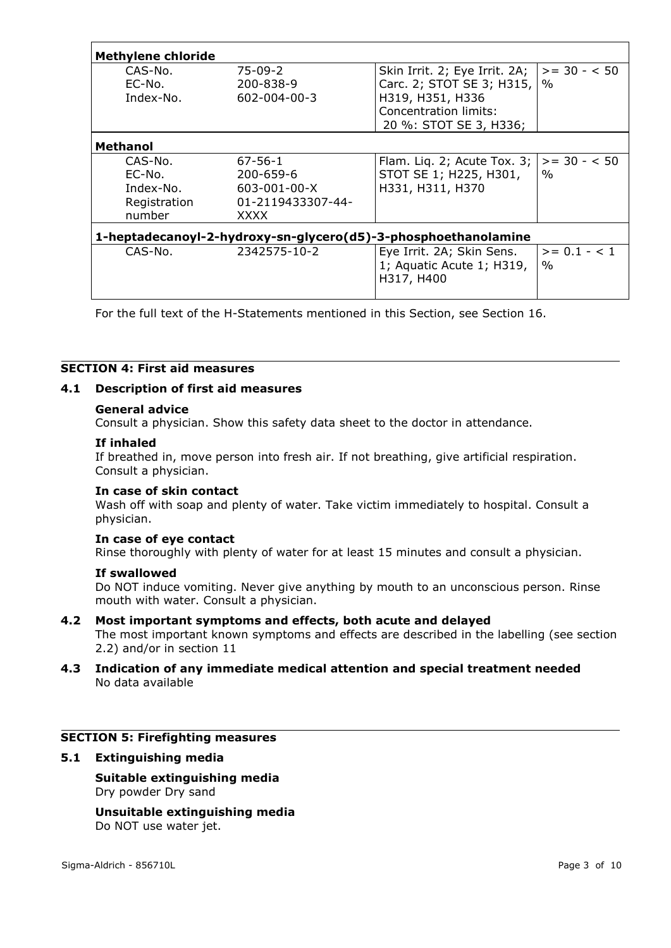| <b>Methylene chloride</b>                                      |                                                |                                                                                                                                               |                        |  |  |
|----------------------------------------------------------------|------------------------------------------------|-----------------------------------------------------------------------------------------------------------------------------------------------|------------------------|--|--|
| CAS-No.<br>EC-No.<br>Index-No.                                 | $75-09-2$<br>200-838-9<br>$602 - 004 - 00 - 3$ | Skin Irrit. 2; Eye Irrit. 2A; $\parallel$<br>Carc. 2; STOT SE 3; H315,<br>H319, H351, H336<br>Concentration limits:<br>20 %: STOT SE 3, H336; | $>= 30 - 50$<br>$\%$   |  |  |
| <b>Methanol</b>                                                |                                                |                                                                                                                                               |                        |  |  |
| CAS-No.                                                        | $67 - 56 - 1$                                  | Flam. Liq. 2; Acute Tox. 3;                                                                                                                   | $>= 30 - 50$           |  |  |
| EC-No.                                                         | 200-659-6                                      | STOT SE 1; H225, H301,                                                                                                                        | $\%$                   |  |  |
| Index-No.                                                      | $603 - 001 - 00 - X$                           | H331, H311, H370                                                                                                                              |                        |  |  |
| Registration                                                   | 01-2119433307-44-                              |                                                                                                                                               |                        |  |  |
| number                                                         | XXXX                                           |                                                                                                                                               |                        |  |  |
| 1-heptadecanoyl-2-hydroxy-sn-glycero(d5)-3-phosphoethanolamine |                                                |                                                                                                                                               |                        |  |  |
| CAS-No.                                                        | 2342575-10-2                                   | Eye Irrit. 2A; Skin Sens.<br>1; Aquatic Acute 1; H319,<br>H317, H400                                                                          | $>= 0.1 - < 1$<br>$\%$ |  |  |

For the full text of the H-Statements mentioned in this Section, see Section 16.

# **SECTION 4: First aid measures**

#### **4.1 Description of first aid measures**

#### **General advice**

Consult a physician. Show this safety data sheet to the doctor in attendance.

#### **If inhaled**

If breathed in, move person into fresh air. If not breathing, give artificial respiration. Consult a physician.

#### **In case of skin contact**

Wash off with soap and plenty of water. Take victim immediately to hospital. Consult a physician.

#### **In case of eye contact**

Rinse thoroughly with plenty of water for at least 15 minutes and consult a physician.

#### **If swallowed**

Do NOT induce vomiting. Never give anything by mouth to an unconscious person. Rinse mouth with water. Consult a physician.

#### **4.2 Most important symptoms and effects, both acute and delayed**

The most important known symptoms and effects are described in the labelling (see section 2.2) and/or in section 11

## **4.3 Indication of any immediate medical attention and special treatment needed** No data available

## **SECTION 5: Firefighting measures**

#### **5.1 Extinguishing media**

#### **Suitable extinguishing media** Dry powder Dry sand

**Unsuitable extinguishing media** Do NOT use water jet.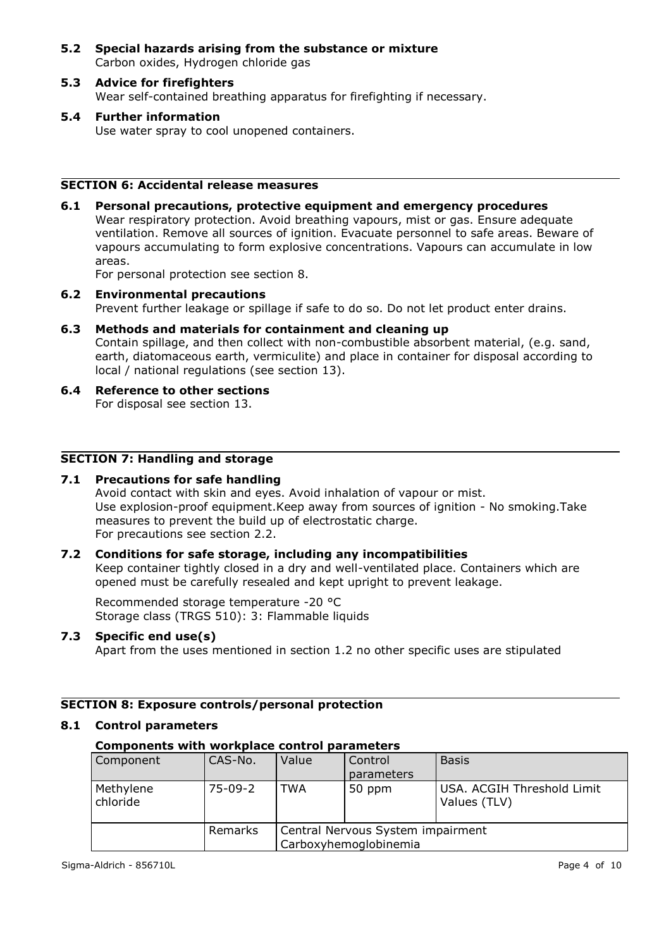- **5.2 Special hazards arising from the substance or mixture** Carbon oxides, Hydrogen chloride gas
- **5.3 Advice for firefighters** Wear self-contained breathing apparatus for firefighting if necessary.
- **5.4 Further information** Use water spray to cool unopened containers.

## **SECTION 6: Accidental release measures**

**6.1 Personal precautions, protective equipment and emergency procedures** Wear respiratory protection. Avoid breathing vapours, mist or gas. Ensure adequate ventilation. Remove all sources of ignition. Evacuate personnel to safe areas. Beware of vapours accumulating to form explosive concentrations. Vapours can accumulate in low areas.

For personal protection see section 8.

- **6.2 Environmental precautions** Prevent further leakage or spillage if safe to do so. Do not let product enter drains.
- **6.3 Methods and materials for containment and cleaning up** Contain spillage, and then collect with non-combustible absorbent material, (e.g. sand, earth, diatomaceous earth, vermiculite) and place in container for disposal according to local / national regulations (see section 13).
- **6.4 Reference to other sections** For disposal see section 13.

## **SECTION 7: Handling and storage**

## **7.1 Precautions for safe handling**

Avoid contact with skin and eyes. Avoid inhalation of vapour or mist. Use explosion-proof equipment.Keep away from sources of ignition - No smoking.Take measures to prevent the build up of electrostatic charge. For precautions see section 2.2.

## **7.2 Conditions for safe storage, including any incompatibilities**

Keep container tightly closed in a dry and well-ventilated place. Containers which are opened must be carefully resealed and kept upright to prevent leakage.

Recommended storage temperature -20 °C Storage class (TRGS 510): 3: Flammable liquids

## **7.3 Specific end use(s)**

Apart from the uses mentioned in section 1.2 no other specific uses are stipulated

## **SECTION 8: Exposure controls/personal protection**

#### **8.1 Control parameters**

## **Components with workplace control parameters**

| Component             | CAS-No.   | Value                                                      | Control<br>parameters | <b>Basis</b>                               |
|-----------------------|-----------|------------------------------------------------------------|-----------------------|--------------------------------------------|
| Methylene<br>chloride | $75-09-2$ | TWA                                                        | 50 ppm                | USA. ACGIH Threshold Limit<br>Values (TLV) |
|                       | Remarks   | Central Nervous System impairment<br>Carboxyhemoglobinemia |                       |                                            |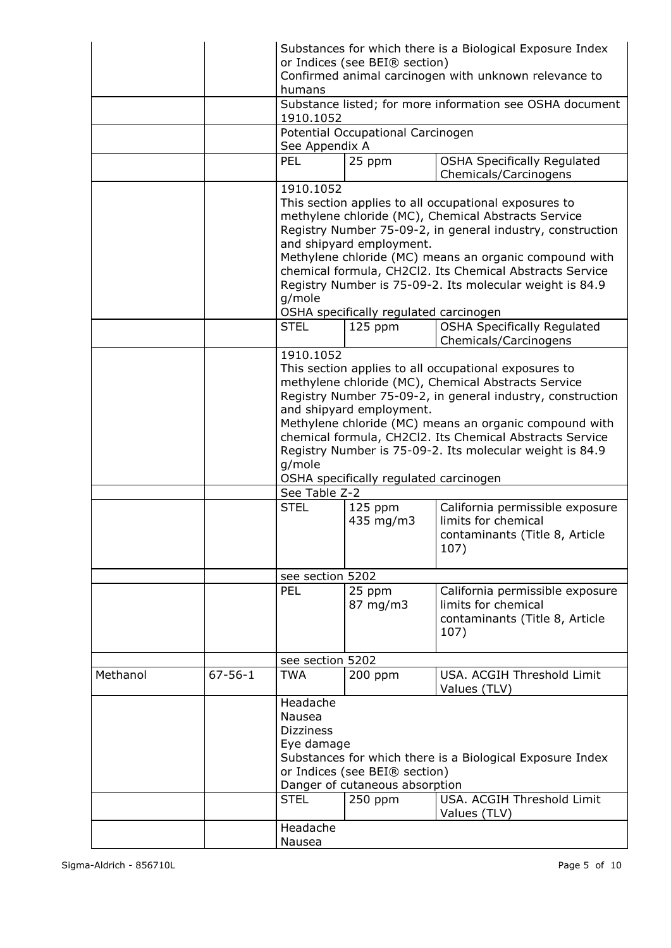|          |               | humans<br>1910.1052<br>See Appendix A<br><b>PEL</b><br>1910.1052                                                                                                                                                                                                                                                                                                                                                                             | or Indices (see BEI® section)<br>Potential Occupational Carcinogen<br>25 ppm                 | Substances for which there is a Biological Exposure Index<br>Confirmed animal carcinogen with unknown relevance to<br>Substance listed; for more information see OSHA document<br><b>OSHA Specifically Regulated</b><br>Chemicals/Carcinogens                                                                                                                                                                                                                    |  |
|----------|---------------|----------------------------------------------------------------------------------------------------------------------------------------------------------------------------------------------------------------------------------------------------------------------------------------------------------------------------------------------------------------------------------------------------------------------------------------------|----------------------------------------------------------------------------------------------|------------------------------------------------------------------------------------------------------------------------------------------------------------------------------------------------------------------------------------------------------------------------------------------------------------------------------------------------------------------------------------------------------------------------------------------------------------------|--|
|          |               | This section applies to all occupational exposures to<br>methylene chloride (MC), Chemical Abstracts Service<br>Registry Number 75-09-2, in general industry, construction<br>and shipyard employment.<br>Methylene chloride (MC) means an organic compound with<br>chemical formula, CH2Cl2. Its Chemical Abstracts Service<br>Registry Number is 75-09-2. Its molecular weight is 84.9<br>g/mole<br>OSHA specifically regulated carcinogen |                                                                                              |                                                                                                                                                                                                                                                                                                                                                                                                                                                                  |  |
|          |               | <b>STEL</b>                                                                                                                                                                                                                                                                                                                                                                                                                                  | $125$ ppm                                                                                    | <b>OSHA Specifically Regulated</b><br>Chemicals/Carcinogens                                                                                                                                                                                                                                                                                                                                                                                                      |  |
|          |               | 1910.1052<br>g/mole<br>See Table Z-2<br><b>STEL</b>                                                                                                                                                                                                                                                                                                                                                                                          | and shipyard employment.<br>OSHA specifically regulated carcinogen<br>$125$ ppm<br>435 mg/m3 | This section applies to all occupational exposures to<br>methylene chloride (MC), Chemical Abstracts Service<br>Registry Number 75-09-2, in general industry, construction<br>Methylene chloride (MC) means an organic compound with<br>chemical formula, CH2Cl2. Its Chemical Abstracts Service<br>Registry Number is 75-09-2. Its molecular weight is 84.9<br>California permissible exposure<br>limits for chemical<br>contaminants (Title 8, Article<br>107) |  |
|          |               | see section 5202                                                                                                                                                                                                                                                                                                                                                                                                                             |                                                                                              |                                                                                                                                                                                                                                                                                                                                                                                                                                                                  |  |
|          |               | PEL                                                                                                                                                                                                                                                                                                                                                                                                                                          | 25 ppm<br>87 mg/m3                                                                           | California permissible exposure<br>limits for chemical<br>contaminants (Title 8, Article<br>107)                                                                                                                                                                                                                                                                                                                                                                 |  |
|          |               | see section 5202                                                                                                                                                                                                                                                                                                                                                                                                                             |                                                                                              |                                                                                                                                                                                                                                                                                                                                                                                                                                                                  |  |
| Methanol | $67 - 56 - 1$ | <b>TWA</b>                                                                                                                                                                                                                                                                                                                                                                                                                                   | $200$ ppm                                                                                    | USA. ACGIH Threshold Limit<br>Values (TLV)                                                                                                                                                                                                                                                                                                                                                                                                                       |  |
|          |               | Headache<br>Nausea<br><b>Dizziness</b><br>Eye damage<br><b>STEL</b>                                                                                                                                                                                                                                                                                                                                                                          | or Indices (see BEI® section)<br>Danger of cutaneous absorption<br>$250$ ppm                 | Substances for which there is a Biological Exposure Index<br>USA. ACGIH Threshold Limit                                                                                                                                                                                                                                                                                                                                                                          |  |
|          |               | Headache                                                                                                                                                                                                                                                                                                                                                                                                                                     |                                                                                              | Values (TLV)                                                                                                                                                                                                                                                                                                                                                                                                                                                     |  |
|          |               | Nausea                                                                                                                                                                                                                                                                                                                                                                                                                                       |                                                                                              |                                                                                                                                                                                                                                                                                                                                                                                                                                                                  |  |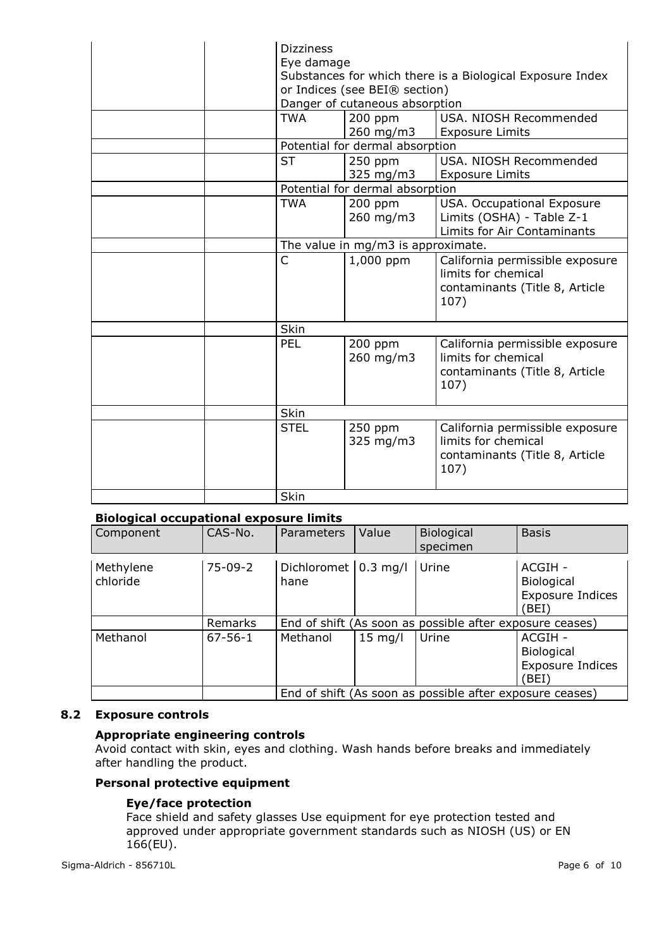| <b>Dizziness</b><br>Eye damage<br>Substances for which there is a Biological Exposure Index<br>or Indices (see BEI® section)<br>Danger of cutaneous absorption |                                    |                                                                                                  |  |
|----------------------------------------------------------------------------------------------------------------------------------------------------------------|------------------------------------|--------------------------------------------------------------------------------------------------|--|
| <b>TWA</b>                                                                                                                                                     | $200$ ppm<br>260 mg/m3             | USA, NIOSH Recommended<br><b>Exposure Limits</b>                                                 |  |
|                                                                                                                                                                | Potential for dermal absorption    |                                                                                                  |  |
| <b>ST</b>                                                                                                                                                      | $250$ ppm<br>325 mg/m3             | USA. NIOSH Recommended<br><b>Exposure Limits</b>                                                 |  |
|                                                                                                                                                                | Potential for dermal absorption    |                                                                                                  |  |
| <b>TWA</b>                                                                                                                                                     | $200$ ppm<br>260 mg/m3             | USA. Occupational Exposure<br>Limits (OSHA) - Table Z-1<br>Limits for Air Contaminants           |  |
|                                                                                                                                                                | The value in mg/m3 is approximate. |                                                                                                  |  |
| C                                                                                                                                                              | 1,000 ppm                          | California permissible exposure<br>limits for chemical<br>contaminants (Title 8, Article<br>107) |  |
| Skin                                                                                                                                                           |                                    |                                                                                                  |  |
| PEL                                                                                                                                                            | $200$ ppm<br>260 mg/m3             | California permissible exposure<br>limits for chemical<br>contaminants (Title 8, Article<br>107) |  |
| <b>Skin</b>                                                                                                                                                    |                                    |                                                                                                  |  |
| <b>STEL</b>                                                                                                                                                    | 250 ppm<br>325 mg/m3               | California permissible exposure<br>limits for chemical<br>contaminants (Title 8, Article<br>107) |  |
| Skin                                                                                                                                                           |                                    |                                                                                                  |  |

## **Biological occupational exposure limits**

| Component             | CAS-No.       | Parameters                              | Value     | Biological<br>specimen                                   | <b>Basis</b>                                                    |
|-----------------------|---------------|-----------------------------------------|-----------|----------------------------------------------------------|-----------------------------------------------------------------|
| Methylene<br>chloride | $75-09-2$     | Dichloromet $ 0.3 \text{ mg}/1$<br>hane |           | Urine                                                    | ACGIH -<br><b>Biological</b><br><b>Exposure Indices</b><br>BEI) |
|                       | Remarks       |                                         |           | End of shift (As soon as possible after exposure ceases) |                                                                 |
| Methanol              | $67 - 56 - 1$ | Methanol                                | $15$ mg/l | Urine                                                    | ACGIH -<br><b>Biological</b><br><b>Exposure Indices</b><br>BEI) |
|                       |               |                                         |           | End of shift (As soon as possible after exposure ceases) |                                                                 |

## **8.2 Exposure controls**

## **Appropriate engineering controls**

Avoid contact with skin, eyes and clothing. Wash hands before breaks and immediately after handling the product.

## **Personal protective equipment**

## **Eye/face protection**

Face shield and safety glasses Use equipment for eye protection tested and approved under appropriate government standards such as NIOSH (US) or EN 166(EU).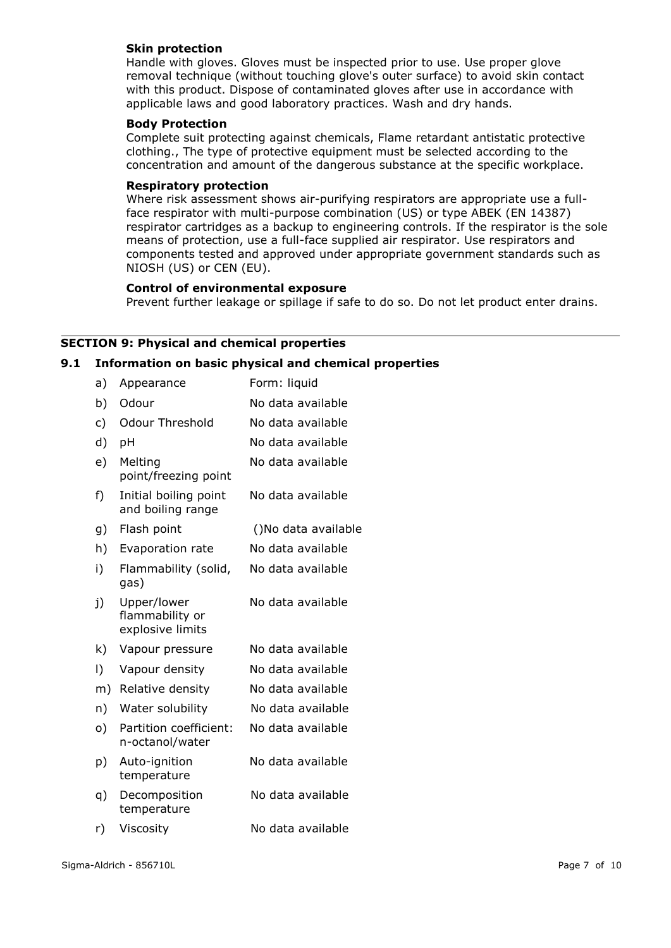## **Skin protection**

Handle with gloves. Gloves must be inspected prior to use. Use proper glove removal technique (without touching glove's outer surface) to avoid skin contact with this product. Dispose of contaminated gloves after use in accordance with applicable laws and good laboratory practices. Wash and dry hands.

#### **Body Protection**

Complete suit protecting against chemicals, Flame retardant antistatic protective clothing., The type of protective equipment must be selected according to the concentration and amount of the dangerous substance at the specific workplace.

#### **Respiratory protection**

Where risk assessment shows air-purifying respirators are appropriate use a fullface respirator with multi-purpose combination (US) or type ABEK (EN 14387) respirator cartridges as a backup to engineering controls. If the respirator is the sole means of protection, use a full-face supplied air respirator. Use respirators and components tested and approved under appropriate government standards such as NIOSH (US) or CEN (EU).

#### **Control of environmental exposure**

Prevent further leakage or spillage if safe to do so. Do not let product enter drains.

## **SECTION 9: Physical and chemical properties**

## **9.1 Information on basic physical and chemical properties**

| a)        | Appearance                                         | Form: liquid        |
|-----------|----------------------------------------------------|---------------------|
| b)        | Odour                                              | No data available   |
| c)        | <b>Odour Threshold</b>                             | No data available   |
| d)        | pH                                                 | No data available   |
| e)        | Melting<br>point/freezing point                    | No data available   |
| f)        | Initial boiling point<br>and boiling range         | No data available   |
| g)        | Flash point                                        | ()No data available |
| h)        | Evaporation rate                                   | No data available   |
| i)        | Flammability (solid,<br>gas)                       | No data available   |
| j)        | Upper/lower<br>flammability or<br>explosive limits | No data available   |
| k)        | Vapour pressure                                    | No data available   |
| $\vert$ ) | Vapour density                                     | No data available   |
| m)        | Relative density                                   | No data available   |
| n)        | Water solubility                                   | No data available   |
| o)        | Partition coefficient:<br>n-octanol/water          | No data available   |
| p)        | Auto-ignition<br>temperature                       | No data available   |
| q)        | Decomposition<br>temperature                       | No data available   |
| r)        | Viscosity                                          | No data available   |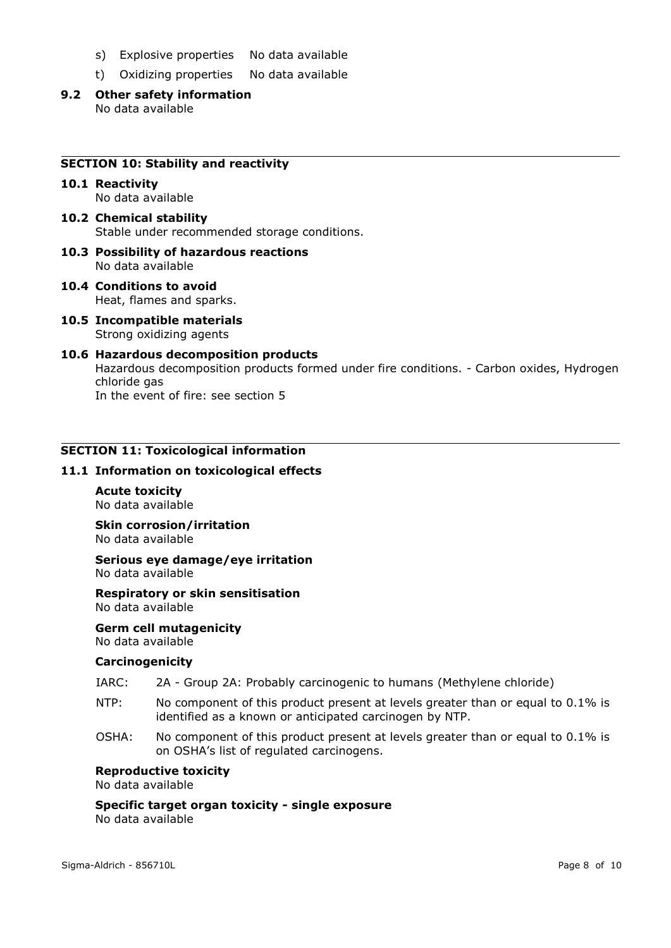- s) Explosive properties No data available
- t) Oxidizing properties No data available
- **9.2 Other safety information** No data available

#### **SECTION 10: Stability and reactivity**

#### **10.1 Reactivity** No data available

- **10.2 Chemical stability** Stable under recommended storage conditions.
- **10.3 Possibility of hazardous reactions** No data available
- **10.4 Conditions to avoid** Heat, flames and sparks.
- **10.5 Incompatible materials** Strong oxidizing agents
- **10.6 Hazardous decomposition products** Hazardous decomposition products formed under fire conditions. - Carbon oxides, Hydrogen chloride gas In the event of fire: see section 5

## **SECTION 11: Toxicological information**

#### **11.1 Information on toxicological effects**

**Acute toxicity** No data available

**Skin corrosion/irritation** No data available

**Serious eye damage/eye irritation** No data available

**Respiratory or skin sensitisation** No data available

**Germ cell mutagenicity** No data available

#### **Carcinogenicity**

- IARC: 2A Group 2A: Probably carcinogenic to humans (Methylene chloride)
- NTP: No component of this product present at levels greater than or equal to 0.1% is identified as a known or anticipated carcinogen by NTP.
- OSHA: No component of this product present at levels greater than or equal to 0.1% is on OSHA's list of regulated carcinogens.

#### **Reproductive toxicity**

No data available

**Specific target organ toxicity - single exposure** No data available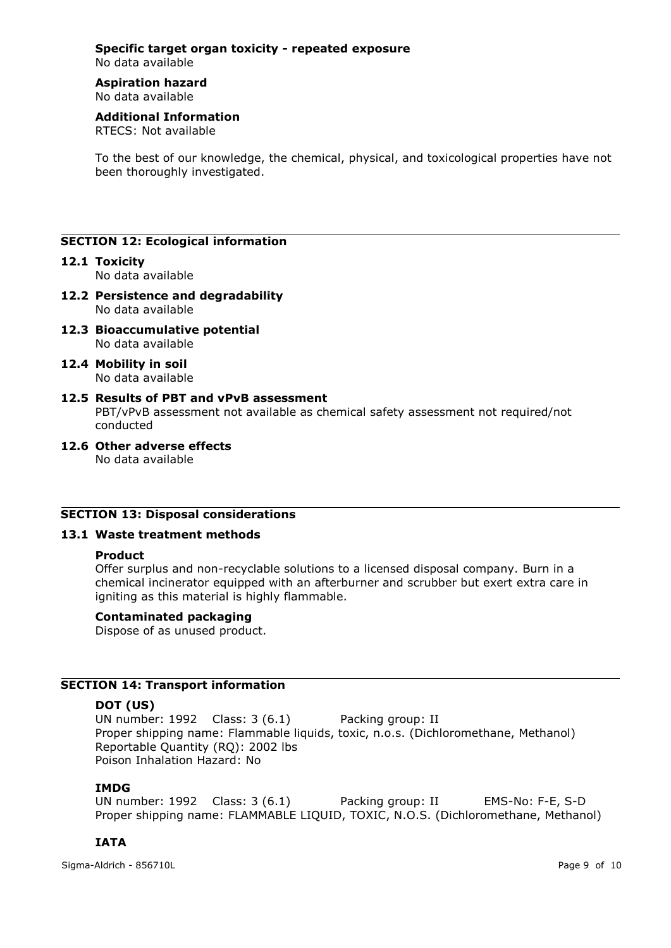#### **Specific target organ toxicity - repeated exposure** No data available

# **Aspiration hazard**

No data available

# **Additional Information**

RTECS: Not available

To the best of our knowledge, the chemical, physical, and toxicological properties have not been thoroughly investigated.

## **SECTION 12: Ecological information**

## **12.1 Toxicity**

No data available

- **12.2 Persistence and degradability** No data available
- **12.3 Bioaccumulative potential** No data available
- **12.4 Mobility in soil** No data available
- **12.5 Results of PBT and vPvB assessment** PBT/vPvB assessment not available as chemical safety assessment not required/not conducted
- **12.6 Other adverse effects** No data available

## **SECTION 13: Disposal considerations**

## **13.1 Waste treatment methods**

## **Product**

Offer surplus and non-recyclable solutions to a licensed disposal company. Burn in a chemical incinerator equipped with an afterburner and scrubber but exert extra care in igniting as this material is highly flammable.

## **Contaminated packaging**

Dispose of as unused product.

## **SECTION 14: Transport information**

## **DOT (US)**

UN number: 1992 Class: 3 (6.1) Packing group: II Proper shipping name: Flammable liquids, toxic, n.o.s. (Dichloromethane, Methanol) Reportable Quantity (RQ): 2002 lbs Poison Inhalation Hazard: No

## **IMDG**

UN number: 1992 Class: 3 (6.1) Packing group: II EMS-No: F-E, S-D Proper shipping name: FLAMMABLE LIQUID, TOXIC, N.O.S. (Dichloromethane, Methanol)

# **IATA**

Sigma-Aldrich - 856710L Page 9 of 10